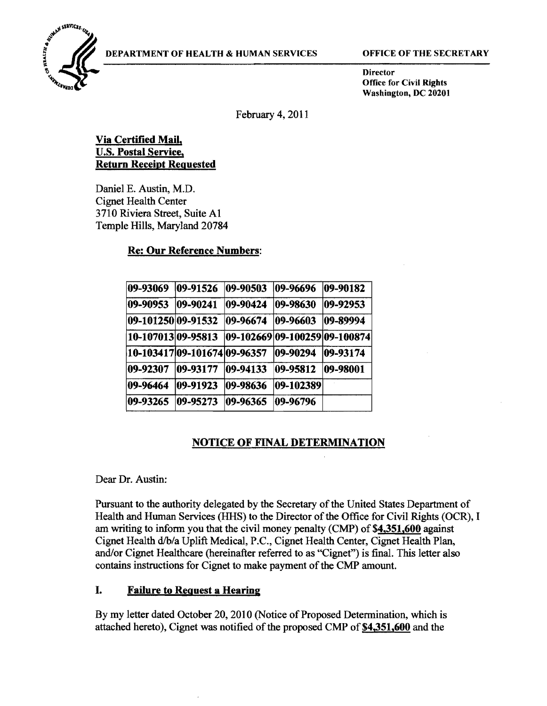

Director Office for Civil Rights Washington, DC 20201

February 4,2011

# Via Certified **Mail.**  U.S. Postal Service. Return Receipt Requested

Daniel E. Austin, M.D. Cignet Health Center 3710 Riviera Street, Suite Al Temple Hills, Maryland 20784

# Re: **Our** Reference Numbers:

| 09-93069           | 09-91526                     | $ 09 - 90503 $                   | 09-96696       | $ 09 - 90182 $ |
|--------------------|------------------------------|----------------------------------|----------------|----------------|
| 09-90953           | $ 09 - 90241$                | 09-90424                         | $ 09 - 98630$  | $ 09 - 92953$  |
| 09-101250 09-91532 |                              | 09-96674                         | $ 09 - 96603$  | 09-89994       |
| 10-107013 09-95813 |                              | $ 09-102669 09-100259 09-100874$ |                |                |
|                    | 10-103417 09-101674 09-96357 |                                  | $ 09 - 90294 $ | $ 09 - 93174$  |
| 109-92307          | $ 09 - 93177$                | $ 09-94133$                      | 09-95812       | $ 09 - 98001$  |
| 09-96464           | 09-91923                     | 09-98636                         | $ 09-102389$   |                |
| 09-93265           | 09-95273                     | 09-96365                         | 09-96796       |                |

# NOTICE OF FINAL DETERMINATION

#### Dear Dr. Austin:

Pursuant to the authority delegated by the Secretary of the United States Department of Health and Human Services (HHS) to the Director of the Office for Civil Rights (OCR), I am writing to inform you that the civil money penalty (CMP) of \$4,351,600 against Cignet Health d/b/a Uplift Medical, P.C., Cignet Health Center, Cignet Health Plan, and/or Cignet Healthcare (hereinafter referred to as "Cignet") is final. This letter also contains instructions for Cignet to make payment of the CMP amount.

# I. Failure to Request a Hearing

By my letter dated October 20,2010 (Notice of Proposed Determination, which is attached hereto), Cignet was notified of the proposed CMP of \$4,351,600 and the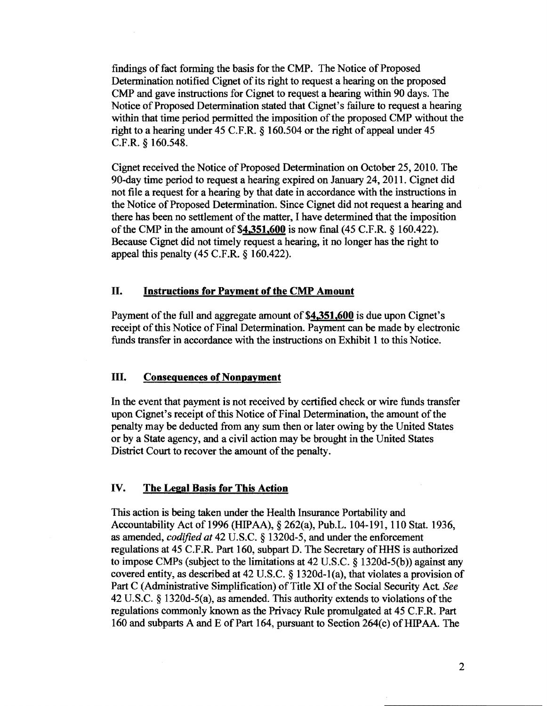findings of fact forming the basis for the CMP. The Notice of Proposed Determination notified Cignet of its right to request a hearing on the proposed CMP and gave instructions for Cignet to request a hearing within 90 days. The Notice of Proposed Detennination stated that Cignet's failure to request a hearing within that time period permitted the imposition of the proposed CMP without the right to a hearing under 45 C.F.R. § 160.504 or the right of appeal under 45 C.F.R. § 160.548.

Cignet received the Notice of Proposed Determination on October 25, 2010. The 90-day time period to request a hearing expired on January 24, 2011. Cignet did not file a request for a hearing by that date in accordance with the instructions in the Notice of Proposed Determination. Since Cignet did not request a hearing and there has been no settlement of the matter, I have determined that the imposition of the CMP in the amount of  $$4,351,600$  is now final (45 C.F.R. § 160.422). Because Cignet did not timely request a hearing, it no longer has the right to appeal this penalty (45 C.F.R. § 160.422).

# II. Instructions for Payment of the CMP Amount

Payment of the full and aggregate amount of \$4.351.600 is due upon Cignet's receipt of this Notice of Final Determination. Payment can be made by electronic funds transfer in accordance with the instructions on Exhibit 1 to this Notice.

#### III. Consequences of Nonpayment

In the event that payment is not received by certified check or wire funds transfer upon Cignet's receipt of this Notice of Final Determination, the amount of the penalty may be deducted from any sum then or later owing by the United States or by a State agency, and a civil action may be brought in the United States District Court to recover the amount of the penalty.

# IV. The Legal Basis for This Action

This action is being taken under the Health Insurance Portability and Accountability Act of 1996 (HIPAA), § 262(a), Pub.L. 104-191, 110 Stat. 1936, as amended, *codified at* 42 U.S.C. § 1320d-5, and under the enforcement regulations at 45 C.F.R. Part 160, subpart D. The Secretary of HHS is authorized to impose CMPs (subject to the limitations at 42 U.S.C. § 1320d-5(b)) against any covered entity, as described at 42 U.S.C. § 1320d-l(a), that violates a provision of Part C (Administrative Simplification) of Title XI of the Social Security Act *See*  42 U.S.C. § 1320d-5(a), as amended. This authority extends to violations of the regulations commonly known as the Privacy Rule promulgated at 45 C.F.R. Part 160 and subparts A and E of Part 164, pursuant to Section  $264(c)$  of HIPAA. The